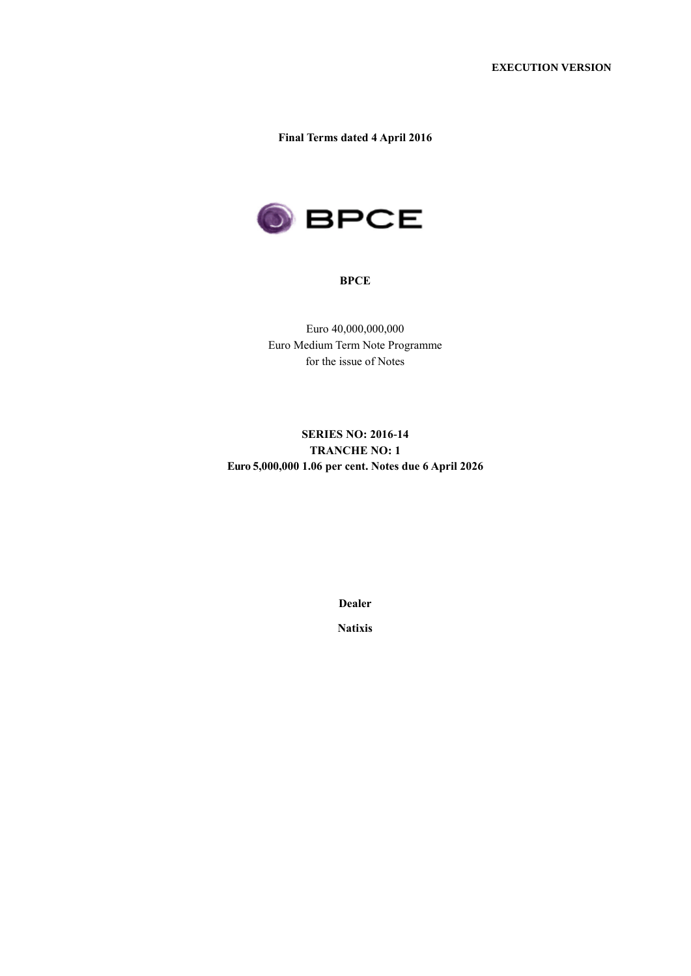**Final Terms dated 4 April 2016**



### **BPCE**

Euro 40,000,000,000 Euro Medium Term Note Programme for the issue of Notes

# **SERIES NO: 2016-14 TRANCHE NO: 1 Euro 5,000,000 1.06 per cent. Notes due 6 April 2026**

**Dealer**

**Natixis**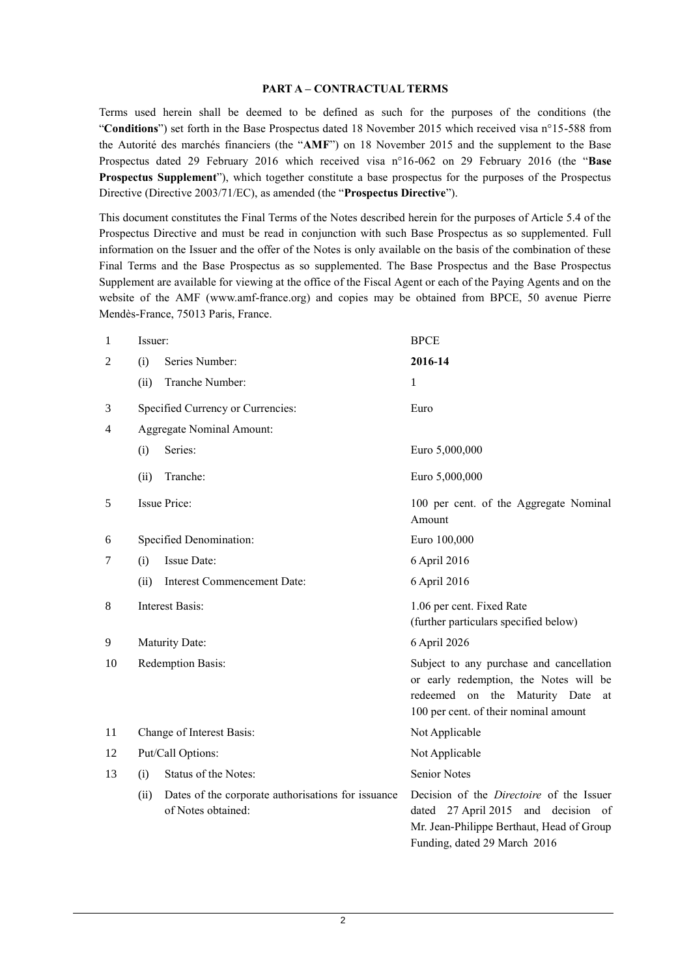#### **PART A – CONTRACTUAL TERMS**

Terms used herein shall be deemed to be defined as such for the purposes of the conditions (the "**Conditions**") set forth in the Base Prospectus dated 18 November 2015 which received visa n°15-588 from the Autorité des marchés financiers (the "**AMF**") on 18 November 2015 and the supplement to the Base Prospectus dated 29 February 2016 which received visa n°16-062 on 29 February 2016 (the "**Base Prospectus Supplement**"), which together constitute a base prospectus for the purposes of the Prospectus Directive (Directive 2003/71/EC), as amended (the "**Prospectus Directive**").

This document constitutes the Final Terms of the Notes described herein for the purposes of Article 5.4 of the Prospectus Directive and must be read in conjunction with such Base Prospectus as so supplemented. Full information on the Issuer and the offer of the Notes is only available on the basis of the combination of these Final Terms and the Base Prospectus as so supplemented. The Base Prospectus and the Base Prospectus Supplement are available for viewing at the office of the Fiscal Agent or each of the Paying Agents and on the website of the AMF (www.amf-france.org) and copies may be obtained from BPCE, 50 avenue Pierre Mendès-France, 75013 Paris, France.

| $\mathbf{1}$   | Issuer:                                                                          | <b>BPCE</b>                                                                                                                                                         |
|----------------|----------------------------------------------------------------------------------|---------------------------------------------------------------------------------------------------------------------------------------------------------------------|
| $\overline{2}$ | Series Number:<br>(i)                                                            | 2016-14                                                                                                                                                             |
|                | Tranche Number:<br>(ii)                                                          | 1                                                                                                                                                                   |
| 3              | Specified Currency or Currencies:                                                | Euro                                                                                                                                                                |
| 4              | <b>Aggregate Nominal Amount:</b>                                                 |                                                                                                                                                                     |
|                | Series:<br>(i)                                                                   | Euro 5,000,000                                                                                                                                                      |
|                | (ii)<br>Tranche:                                                                 | Euro 5,000,000                                                                                                                                                      |
| 5              | <b>Issue Price:</b>                                                              | 100 per cent. of the Aggregate Nominal<br>Amount                                                                                                                    |
| 6              | Specified Denomination:                                                          | Euro 100,000                                                                                                                                                        |
| 7              | Issue Date:<br>(i)                                                               | 6 April 2016                                                                                                                                                        |
|                | <b>Interest Commencement Date:</b><br>(ii)                                       | 6 April 2016                                                                                                                                                        |
| 8              | <b>Interest Basis:</b>                                                           | 1.06 per cent. Fixed Rate<br>(further particulars specified below)                                                                                                  |
| 9              | Maturity Date:                                                                   | 6 April 2026                                                                                                                                                        |
| 10             | Redemption Basis:                                                                | Subject to any purchase and cancellation<br>or early redemption, the Notes will be<br>redeemed on the Maturity Date<br>at<br>100 per cent. of their nominal amount  |
| 11             | Change of Interest Basis:                                                        | Not Applicable                                                                                                                                                      |
| 12             | Put/Call Options:                                                                | Not Applicable                                                                                                                                                      |
| 13             | Status of the Notes:<br>(i)                                                      | <b>Senior Notes</b>                                                                                                                                                 |
|                | Dates of the corporate authorisations for issuance<br>(ii)<br>of Notes obtained: | Decision of the <i>Directoire</i> of the Issuer<br>dated 27 April 2015 and decision of<br>Mr. Jean-Philippe Berthaut, Head of Group<br>Funding, dated 29 March 2016 |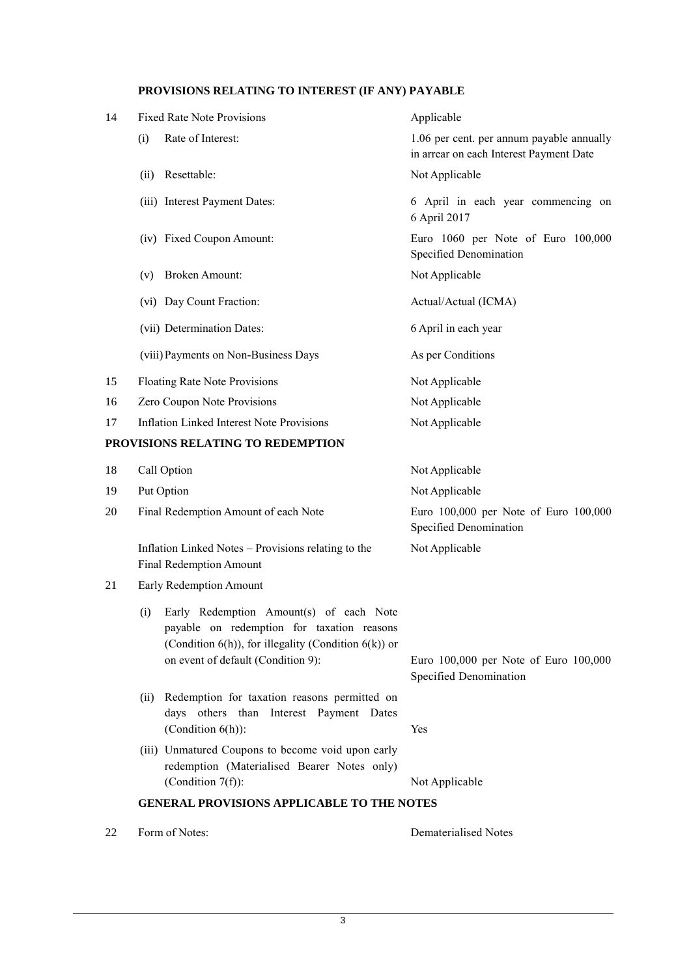# **PROVISIONS RELATING TO INTEREST (IF ANY) PAYABLE**

| 14 | <b>Fixed Rate Note Provisions</b>                                                                                                                                                                | Applicable                                                                           |
|----|--------------------------------------------------------------------------------------------------------------------------------------------------------------------------------------------------|--------------------------------------------------------------------------------------|
|    | Rate of Interest:<br>(i)                                                                                                                                                                         | 1.06 per cent. per annum payable annually<br>in arrear on each Interest Payment Date |
|    | Resettable:<br>(ii)                                                                                                                                                                              | Not Applicable                                                                       |
|    | (iii) Interest Payment Dates:                                                                                                                                                                    | 6 April in each year commencing on<br>6 April 2017                                   |
|    | (iv) Fixed Coupon Amount:                                                                                                                                                                        | Euro 1060 per Note of Euro 100,000<br>Specified Denomination                         |
|    | <b>Broken Amount:</b><br>(v)                                                                                                                                                                     | Not Applicable                                                                       |
|    | (vi) Day Count Fraction:                                                                                                                                                                         | Actual/Actual (ICMA)                                                                 |
|    | (vii) Determination Dates:                                                                                                                                                                       | 6 April in each year                                                                 |
|    | (viii) Payments on Non-Business Days                                                                                                                                                             | As per Conditions                                                                    |
| 15 | Floating Rate Note Provisions                                                                                                                                                                    | Not Applicable                                                                       |
| 16 | Zero Coupon Note Provisions                                                                                                                                                                      | Not Applicable                                                                       |
| 17 | <b>Inflation Linked Interest Note Provisions</b>                                                                                                                                                 | Not Applicable                                                                       |
|    | PROVISIONS RELATING TO REDEMPTION                                                                                                                                                                |                                                                                      |
| 18 | Call Option                                                                                                                                                                                      | Not Applicable                                                                       |
| 19 | Put Option                                                                                                                                                                                       | Not Applicable                                                                       |
| 20 | Final Redemption Amount of each Note                                                                                                                                                             | Euro 100,000 per Note of Euro 100,000<br>Specified Denomination                      |
|    | Inflation Linked Notes - Provisions relating to the<br><b>Final Redemption Amount</b>                                                                                                            | Not Applicable                                                                       |
| 21 | Early Redemption Amount                                                                                                                                                                          |                                                                                      |
|    | Early Redemption Amount(s) of each Note<br>(i)<br>payable on redemption for taxation reasons<br>(Condition $6(h)$ ), for illegality (Condition $6(k)$ ) or<br>on event of default (Condition 9): | Euro 100,000 per Note of Euro 100,000<br>Specified Denomination                      |

- (ii) Redemption for taxation reasons permitted on days others than Interest Payment Dates (Condition 6(h)): Yes
- (iii) Unmatured Coupons to become void upon early redemption (Materialised Bearer Notes only) (Condition 7(f)): Not Applicable

**GENERAL PROVISIONS APPLICABLE TO THE NOTES**

22 Form of Notes: Dematerialised Notes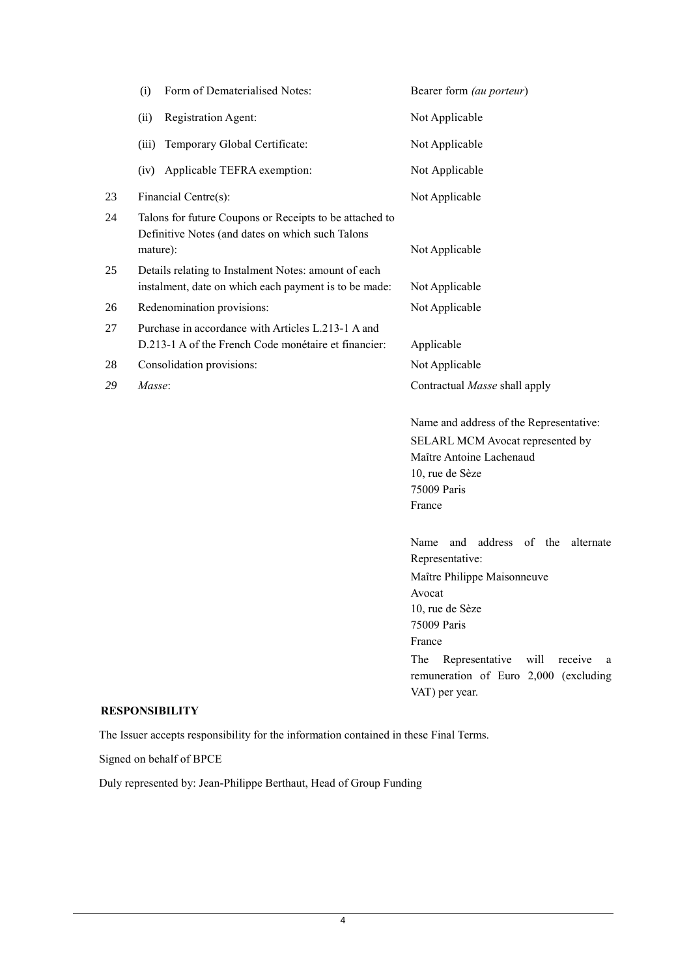|    | Form of Dematerialised Notes:<br>(i)                                                                                    | Bearer form (au porteur)                                                                                                                                                                                                                  |
|----|-------------------------------------------------------------------------------------------------------------------------|-------------------------------------------------------------------------------------------------------------------------------------------------------------------------------------------------------------------------------------------|
|    | (ii)<br>Registration Agent:                                                                                             | Not Applicable                                                                                                                                                                                                                            |
|    | Temporary Global Certificate:<br>(iii)                                                                                  | Not Applicable                                                                                                                                                                                                                            |
|    | Applicable TEFRA exemption:<br>(iv)                                                                                     | Not Applicable                                                                                                                                                                                                                            |
| 23 | Financial Centre(s):                                                                                                    | Not Applicable                                                                                                                                                                                                                            |
| 24 | Talons for future Coupons or Receipts to be attached to<br>Definitive Notes (and dates on which such Talons<br>mature): | Not Applicable                                                                                                                                                                                                                            |
| 25 | Details relating to Instalment Notes: amount of each<br>instalment, date on which each payment is to be made:           | Not Applicable                                                                                                                                                                                                                            |
| 26 | Redenomination provisions:                                                                                              | Not Applicable                                                                                                                                                                                                                            |
| 27 | Purchase in accordance with Articles L.213-1 A and<br>D.213-1 A of the French Code monétaire et financier:              | Applicable                                                                                                                                                                                                                                |
| 28 | Consolidation provisions:                                                                                               | Not Applicable                                                                                                                                                                                                                            |
| 29 | Masse:                                                                                                                  | Contractual Masse shall apply                                                                                                                                                                                                             |
|    |                                                                                                                         | Name and address of the Representative:<br>SELARL MCM Avocat represented by<br>Maître Antoine Lachenaud<br>10, rue de Sèze<br>75009 Paris<br>France                                                                                       |
|    |                                                                                                                         | Name and<br>address of the<br>alternate<br>Representative:<br>Maître Philippe Maisonneuve<br>Avocat<br>10, rue de Sèze<br>75009 Paris<br>France<br>The<br>Representative<br>will<br>receive<br>a<br>remuneration of Euro 2,000 (excluding |

### **RESPONSIBILITY**

The Issuer accepts responsibility for the information contained in these Final Terms.

Signed on behalf of BPCE

Duly represented by: Jean-Philippe Berthaut, Head of Group Funding

VAT) per year.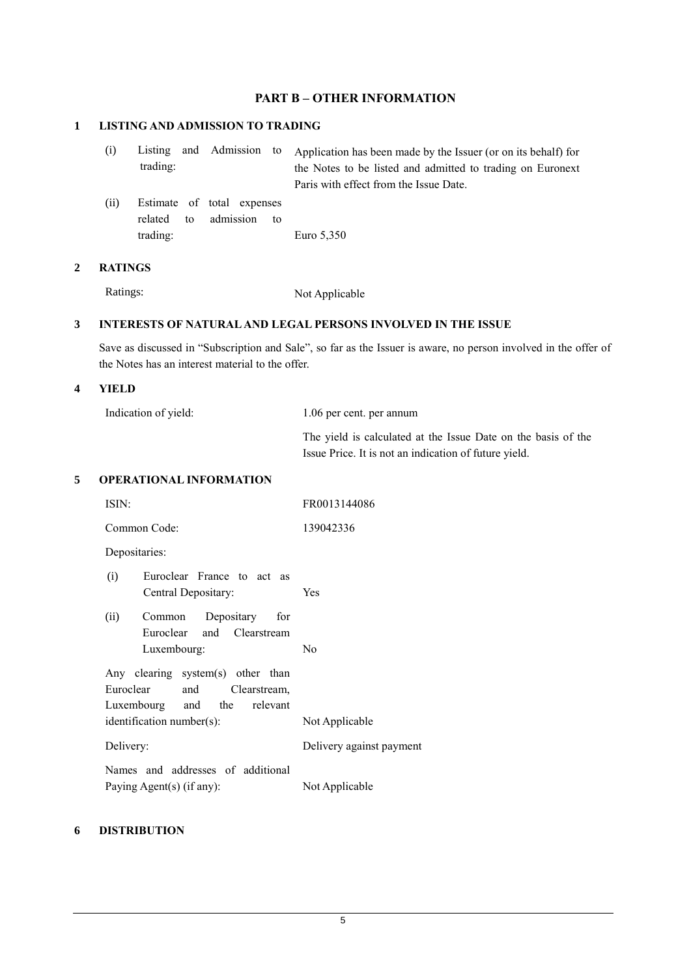# **PART B – OTHER INFORMATION**

# **1 LISTING AND ADMISSION TO TRADING**

| (i) |          |  | Listing and Admission to Application has been made by the Issuer (or on its behalf) for |
|-----|----------|--|-----------------------------------------------------------------------------------------|
|     | trading: |  | the Notes to be listed and admitted to trading on Euronext                              |
|     |          |  | Paris with effect from the Issue Date.                                                  |

(ii) Estimate of total expenses related to admission to trading: Euro 5,350

### **2 RATINGS**

Ratings: Not Applicable

## **3 INTERESTS OF NATURAL AND LEGAL PERSONS INVOLVED IN THE ISSUE**

Save as discussed in "Subscription and Sale", so far as the Issuer is aware, no person involved in the offer of the Notes has an interest material to the offer.

### **4 YIELD**

| Indication of yield: | 1.06 per cent. per annum                                      |
|----------------------|---------------------------------------------------------------|
|                      | The yield is calculated at the Issue Date on the basis of the |
|                      | Issue Price. It is not an indication of future yield.         |

### **5 OPERATIONAL INFORMATION**

| ISIN:                                                                                          | FR0013144086                               |
|------------------------------------------------------------------------------------------------|--------------------------------------------|
| Common Code:                                                                                   | 139042336                                  |
| Depositaries:                                                                                  |                                            |
| (i)<br>Euroclear France to act as<br>Central Depositary:                                       | Yes                                        |
| Common Depositary for<br>(ii)<br>Euroclear and Clearstream<br>Luxembourg:                      | No                                         |
| Any clearing system(s) other than<br>Euroclear and Clearstream,<br>Luxembourg and the relevant |                                            |
| identification number(s):<br>Delivery:                                                         | Not Applicable<br>Delivery against payment |
| Names and addresses of additional<br>Paying Agent(s) (if any):                                 | Not Applicable                             |
|                                                                                                |                                            |

### **6 DISTRIBUTION**